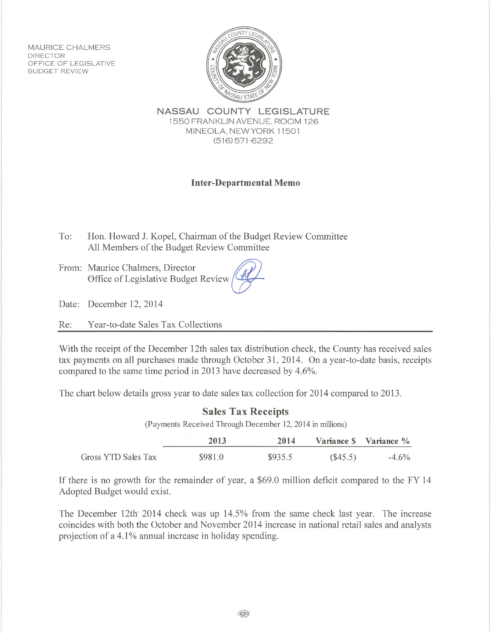**MAURICE CHALMERS DIRECTOR** OFFICE OF LEGISLATIVE **BUDGET REVIEW** 



NASSAU COUNTY LEGISLATURE 1550 FRANKLIN AVENUE, ROOM 126 MINEOLA, NEW YORK 11501  $(516)$  571-6292

## **Inter-Departmental Memo**

- To: Hon. Howard J. Kopel, Chairman of the Budget Review Committee All Members of the Budget Review Committee
- From: Maurice Chalmers, Director Office of Legislative Budget Review

Date: December 12, 2014

Year-to-date Sales Tax Collections Re:

With the receipt of the December 12th sales tax distribution check, the County has received sales tax payments on all purchases made through October 31, 2014. On a vear-to-date basis, receipts compared to the same time period in 2013 have decreased by 4.6%.

The chart below details gross year to date sales tax collection for 2014 compared to 2013.

|  | <b>Sales Tax Receipts</b><br>(Payments Received Through December 12, 2014 in millions) |         |         |         |                        |  |  |
|--|----------------------------------------------------------------------------------------|---------|---------|---------|------------------------|--|--|
|  |                                                                                        |         |         |         |                        |  |  |
|  |                                                                                        | 2013    | 2014    |         | Variance \$ Variance % |  |  |
|  | Gross YTD Sales Tax                                                                    | \$981.0 | \$935.5 | (S45.5) | $-4.6\%$               |  |  |

If there is no growth for the remainder of year, a \$69.0 million deficit compared to the FY 14 Adopted Budget would exist.

The December 12th<sup>,</sup> 2014 check was up 14.5% from the same check last year. The increase coincides with both the October and November 2014 increase in national retail sales and analysts projection of a 4.1% annual increase in holiday spending.